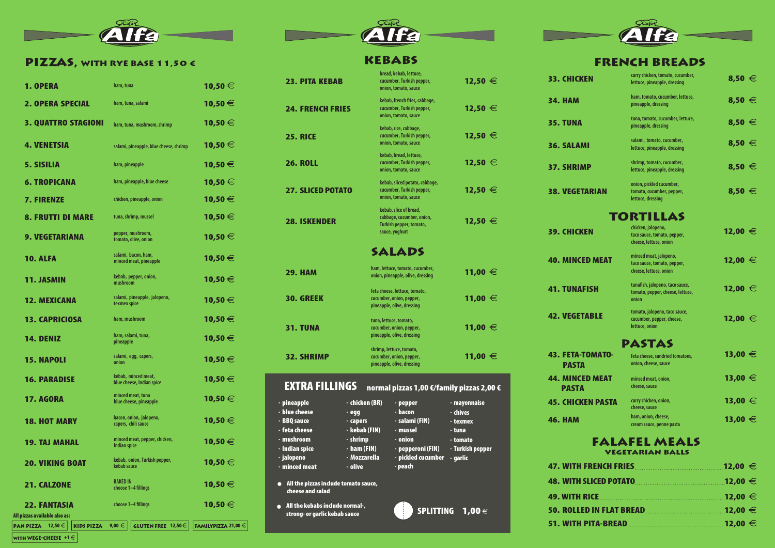

### PIZZAS, WITH RYE BASE 11,50 €

**1. OPERA** ham, tuna

2. OPERA SPECIAL **ham, tuna, salami**

**5. SISILIA ham, pineapple** 

**3. QUATTRO STAGIONI** ham, tuna, mushroom, shrin

**4. VENETSIA** salami, pineapple, blue cheese, and a salami, pineapple, blue cheese, and a salami, pineapple, blue cheese, and a salami,  $\mu$ 

**6. TROPICANA** ham, pineapple, blue cheese

7. FIRENZE **chicken, pineapple, onion**

8. FRUTTI DI MARE tuna, shrimp, mussel

**10. ALFA** salami, bacon, ham,<br>
minced meat, pineapple

**12. MEXICANA** salami, pineapple, jalopen

9. VEGETARIANA

**pepper, mushroom, tomato, olive, onion**

**kebab, pepper, onion,**

**mushroom** 11. JASMIN

**texmex spice**

13. CAPRICIOSA **ham, mushroom**

14. DENIZ **ham, salami, tuna,**

**pineapple**

15. NAPOLI **salami, egg, capers,**

**17. AGORA minced meat, tuna**<br>**hlue cheese** nineann

**onion**

16. PARADISE



## **KEBABS**

**blue cheese, pineapple**

18. HOT MARY **bacon, onion, jalopeno,**

**19. TAJ MAHAL** minced meat, pepper, chick

**20. VIKING BOAT kebab, onion, Turkish pepp** 

**21. CALZONE** BAKED IN

 $|$  PAN PIZZA  $|12,50 \in |$  KIDS PIZZA  $|9,00 \in |$ 

WITH WEGE-CHEESE  $+1 \in |$ 

**capers, chili sauce**

**Indian spice**

**kebab sauce**

choose 1–4 fillings

# FRENCH BREADS

| na                                | <b>10,50 €</b>                            | <b>23. PITA KEBAB</b>                                    | bread, kebab, lettuce,<br>cucumber, Turkish pepper,<br>onion, tomato, sauce             | <b>12,50 €</b>                 | <b>33. CHICKEN</b>                              | curry chicken, tomato, cucumber,<br>lettuce, pineapple, dressing                | $8,50 \in$     |
|-----------------------------------|-------------------------------------------|----------------------------------------------------------|-----------------------------------------------------------------------------------------|--------------------------------|-------------------------------------------------|---------------------------------------------------------------------------------|----------------|
| na, salami                        | <b>10,50 €</b>                            | <b>24. FRENCH FRIES</b>                                  | kebab, french fries, cabbage,<br>cucumber, Turkish pepper,                              | <b>12,50 €</b>                 | <b>34. HAM</b>                                  | ham, tomato, cucumber, lettuce,<br>pineapple, dressing                          | $8,50 \in$     |
| na, mushroom, shrimp              | <b>10,50 €</b>                            |                                                          | onion, tomato, sauce<br>kebab, rice, cabbage,                                           |                                | <b>35. TUNA</b>                                 | tuna, tomato, cucumber, lettuce,<br>pineapple, dressing                         | $8,50 \in$     |
| pineapple, blue cheese, shrimp    | <b>10,50 €</b>                            | <b>25. RICE</b>                                          | cucumber, Turkish pepper,<br>onion, tomato, sauce                                       | <b>12,50 €</b>                 | <b>36. SALAMI</b>                               | salami, tomato, cucumber,<br>lettuce, pineapple, dressing                       | $8,50 \in$     |
| ıeapple                           | <b>10,50 €</b>                            | <b>26. ROLL</b>                                          | kebab, bread, lettuce,<br>cucumber, Turkish pepper,<br>onion, tomato, sauce             | <b>12,50 €</b>                 | <b>37. SHRIMP</b>                               | shrimp, tomato, cucumber,<br>lettuce, pineapple, dressing                       | $8,50 \in$     |
| 1eapple, blue cheese              | <b>10,50 €</b>                            | <b>27. SLICED POTATO</b>                                 | kebab, sliced potato, cabbage,<br>cucumber, Turkish pepper,                             | <b>12,50 €</b>                 | <b>38. VEGETARIAN</b>                           | onion, pickled cucumber,<br>tomato, cucumber, pepper,                           | 8,50 $\in$     |
| pineapple, onion                  | <b>10,50 €</b>                            |                                                          | onion, tomato, sauce                                                                    |                                |                                                 | lettuce, dressing                                                               |                |
| rimp, mussel                      | <b>10,50 €</b>                            | <b>28. ISKENDER</b>                                      | kebab, slice of bread,<br>cabbage, cucumber, onion,<br>Turkish pepper, tomato,          | <b>12,50 €</b>                 | <b>TORTILLAS</b><br>chicken, jalopeno,          |                                                                                 |                |
| mushroom,<br>olive, onion         | <b>10,50 €</b>                            |                                                          | sauce, yoghurt                                                                          |                                | <b>39. CHICKEN</b>                              | taco sauce, tomato, pepper,<br>cheese, lettuce, onion                           | <b>12,00 €</b> |
| bacon, ham,<br>meat, pineapple    | <b>10,50 €</b>                            |                                                          | <b>SALADS</b><br>ham, lettuce, tomato, cucumber,                                        |                                | <b>40. MINCED MEAT</b>                          | minced meat, jalopeno,<br>taco sauce, tomato, pepper,<br>cheese, lettuce, onion | <b>12,00 €</b> |
| pepper, onion,                    | <b>10,50 €</b>                            | <b>29. HAM</b>                                           | onion, pineapple, olive, dressing                                                       | <b>11,00 €</b>                 | <b>41. TUNAFISH</b>                             | tunafish, jalopeno, taco sauce,                                                 | <b>12,00 €</b> |
| pineapple, jalopeno,<br>spice     | <b>10,50 €</b>                            | <b>30. GREEK</b>                                         | feta cheese, lettuce, tomato,<br>cucumber, onion, pepper,<br>pineapple, olive, dressing | <b>11,00 €</b>                 |                                                 | tomato, pepper, cheese, lettuce,<br>onion                                       |                |
| ıshroom                           | <b>10,50 €</b>                            | <b>31. TUNA</b>                                          | tuna, lettuce, tomato,<br>cucumber, onion, pepper,                                      | <b>11,00 €</b>                 | <b>42. VEGETABLE</b>                            | tomato, jalopeno, taco sauce,<br>cucumber, pepper, cheese,<br>lettuce, onion    | 12,00 $∈$      |
| lami, tuna,<br>le                 | <b>10,50 €</b>                            |                                                          | pineapple, olive, dressing                                                              |                                |                                                 | <b>PASTAS</b>                                                                   |                |
| egg, capers,                      | 10,50 $\in$                               | <b>32. SHRIMP</b>                                        | shrimp, lettuce, tomato,<br>cucumber, onion, pepper,<br>pineapple, olive, dressing      | <b>11,00 €</b>                 | <b>43. FETA-TOMATO-</b><br><b>PASTA</b>         | feta cheese, sundried tomatoes,<br>onion, cheese, sauce                         | 13,00 $\in$    |
| ninced meat,<br>ese, Indian spice | <b>10,50 €</b>                            | <b>EXTRA FILLINGS</b>                                    | normal pizzas 1,00 €/family pizzas 2,00 €                                               |                                | <b>44. MINCED MEAT</b><br><b>PASTA</b>          | minced meat, onion,<br>cheese, sauce                                            | <b>13,00 €</b> |
| meat, tuna<br>ese, pineapple      | <b>10,50 €</b>                            | - pineapple                                              | - chicken (BR)<br>- pepper                                                              | - mayonnaise                   | <b>45. CHICKEN PASTA</b>                        | curry chicken, onion,<br>cheese, sauce                                          | <b>13,00 €</b> |
| nion, jalopeno,<br>chili sauce    | <b>10,50 €</b>                            | - blue cheese<br>$-$ egg<br>- BBQ sauce<br>- feta cheese | - bacon<br>- salami (FIN)<br>- capers<br>- kebab (FIN)<br>- mussel                      | - chives<br>- texmex<br>- tuna | <b>46. HAM</b>                                  | ham, onion, cheese,<br>cream sauce, penne pasta                                 | <b>13,00 €</b> |
| meat, pepper, chicken,<br>pice    | <b>10,50 €</b>                            | - mushroom<br>- Indian spice                             | - shrimp<br>- onion<br>$-$ ham (FIN)<br>- pepperoni (FIN)                               | - tomato<br>- Turkish pepper   | <b>FALAFEL MEALS</b><br><b>VEGETARIAN BALLS</b> |                                                                                 |                |
| onion, Turkish pepper,<br>uce     | <b>10,50 €</b>                            | - jalopeno<br>- olive<br>- minced meat                   | - pickled cucumber - garlic<br>- Mozzarella<br>- peach                                  |                                | <b>47. WITH FRENCH FRIES</b>                    |                                                                                 | 12,00 $\in$    |
|                                   | <b>10,50 €</b>                            | All the pizzas include tomato sauce,                     |                                                                                         |                                | <b>48. WITH SLICED POTATO</b>                   |                                                                                 | <b>12,00 €</b> |
| -4 fillings                       |                                           | cheese and salad                                         |                                                                                         |                                | <b>49. WITH RICE</b>                            |                                                                                 | $12,00 \in$    |
| -4 fillings                       | 10,50 $\in$                               | $\bullet$ All the kebabs include normal-,                |                                                                                         | SPLITTING $1,00 \in$           |                                                 |                                                                                 | .12,00 $\in$   |
| <b>GLUTEN FREE</b> $12,50 \in$    | <b>FAMILYPIZZA 21,00 <math>\in</math></b> | strong- or garlic kebab sauce                            |                                                                                         |                                | <b>51. WITH PITA-BREAD</b>                      |                                                                                 |                |
|                                   |                                           |                                                          |                                                                                         |                                |                                                 |                                                                                 |                |



**kebab, minced meat, blue cheese, Indian spice**

All pizzas available also as:

**22. FANTASIA** choose 1-4 fillings